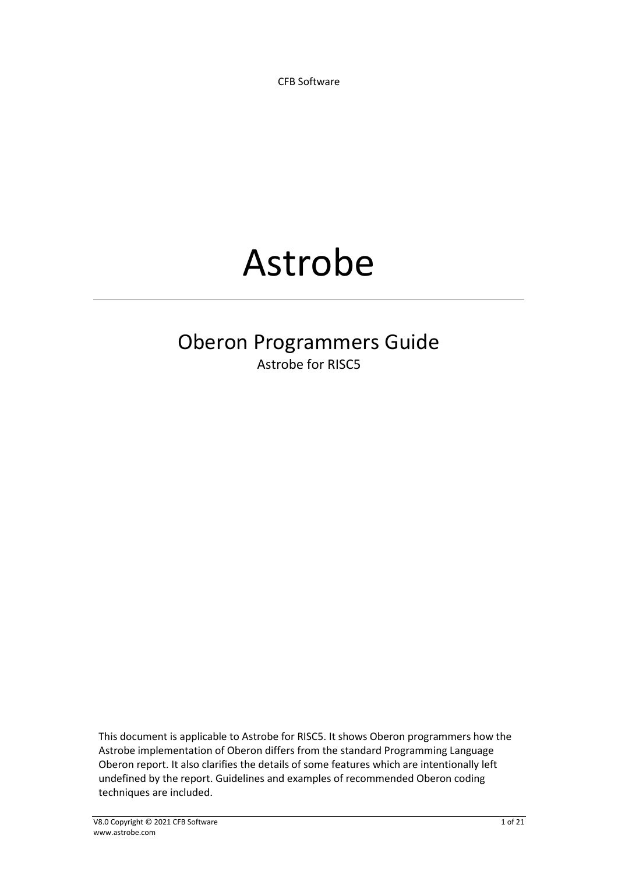CFB Software

# Astrobe

# Oberon Programmers Guide Astrobe for RISC5

This document is applicable to Astrobe for RISC5. It shows Oberon programmers how the Astrobe implementation of Oberon differs from the standard Programming Language Oberon report. It also clarifies the details of some features which are intentionally left undefined by the report. Guidelines and examples of recommended Oberon coding techniques are included.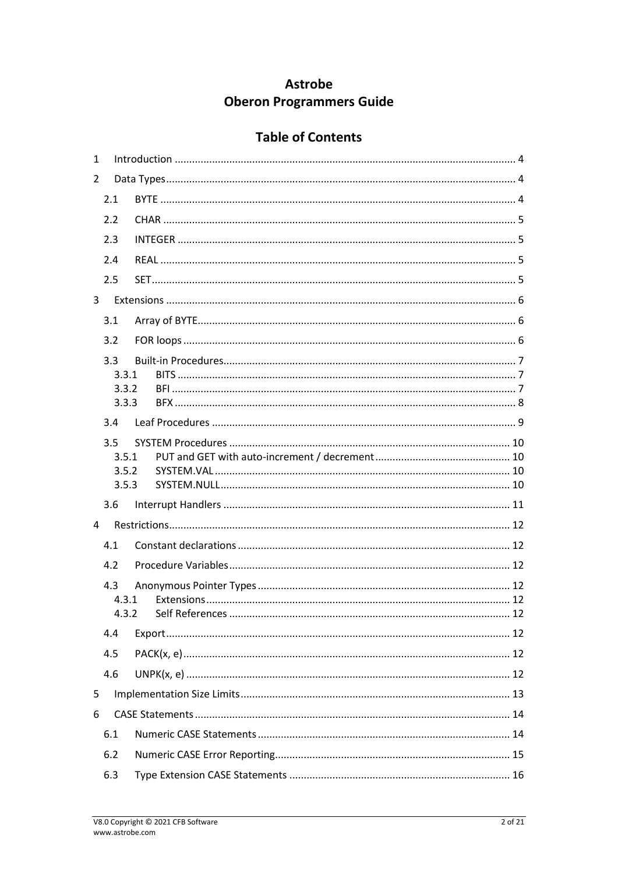# **Astrobe Oberon Programmers Guide**

# **Table of Contents**

| $\mathbf{1}$ |                |  |  |  |  |  |
|--------------|----------------|--|--|--|--|--|
| 2            |                |  |  |  |  |  |
|              | 2.1            |  |  |  |  |  |
|              | 2.2            |  |  |  |  |  |
|              | 2.3            |  |  |  |  |  |
|              | 2.4            |  |  |  |  |  |
|              | 2.5            |  |  |  |  |  |
| 3            |                |  |  |  |  |  |
|              | 3.1            |  |  |  |  |  |
|              | 3.2            |  |  |  |  |  |
|              | 3.3            |  |  |  |  |  |
|              | 3.3.1          |  |  |  |  |  |
|              | 3.3.2          |  |  |  |  |  |
|              | 3.3.3          |  |  |  |  |  |
|              | 3.4            |  |  |  |  |  |
|              | 3.5            |  |  |  |  |  |
|              | 3.5.1          |  |  |  |  |  |
|              | 3.5.2<br>3.5.3 |  |  |  |  |  |
|              | 3.6            |  |  |  |  |  |
| 4            |                |  |  |  |  |  |
|              |                |  |  |  |  |  |
|              | 4.1            |  |  |  |  |  |
|              | 4.2            |  |  |  |  |  |
|              | 4.3            |  |  |  |  |  |
|              | 4.3.1          |  |  |  |  |  |
|              | 4.4            |  |  |  |  |  |
|              | 4.5            |  |  |  |  |  |
|              |                |  |  |  |  |  |
|              | 4.6            |  |  |  |  |  |
| 5            |                |  |  |  |  |  |
| 6            |                |  |  |  |  |  |
|              | 6.1            |  |  |  |  |  |
|              | 6.2            |  |  |  |  |  |
|              | 6.3            |  |  |  |  |  |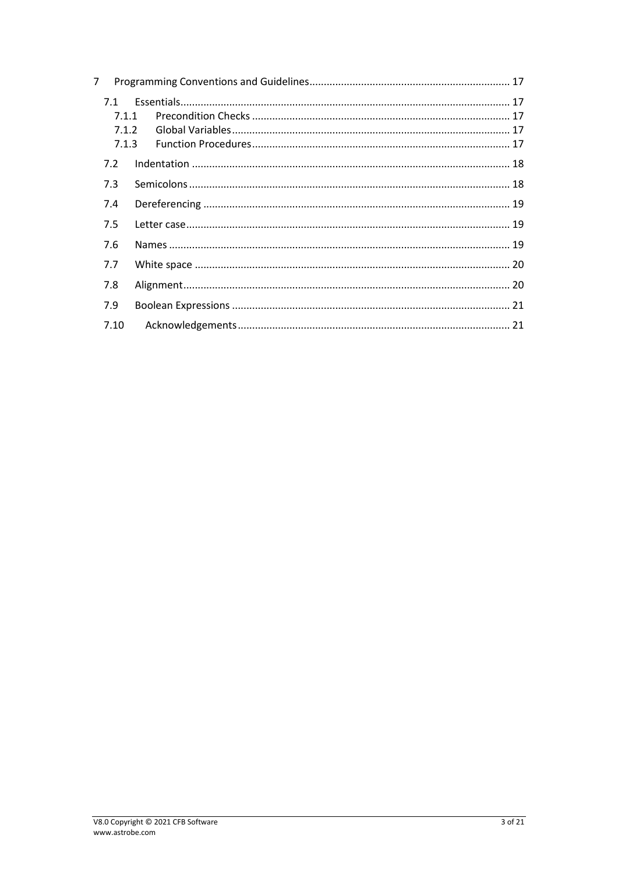| 7                              |  |  |  |  |
|--------------------------------|--|--|--|--|
| 7.1<br>7.1.1<br>7.1.2<br>7.1.3 |  |  |  |  |
| 7.2                            |  |  |  |  |
| 7.3                            |  |  |  |  |
| 7.4                            |  |  |  |  |
| 7.5                            |  |  |  |  |
| 7.6                            |  |  |  |  |
| 7.7                            |  |  |  |  |
| 7.8                            |  |  |  |  |
| 7.9                            |  |  |  |  |
| 7.10                           |  |  |  |  |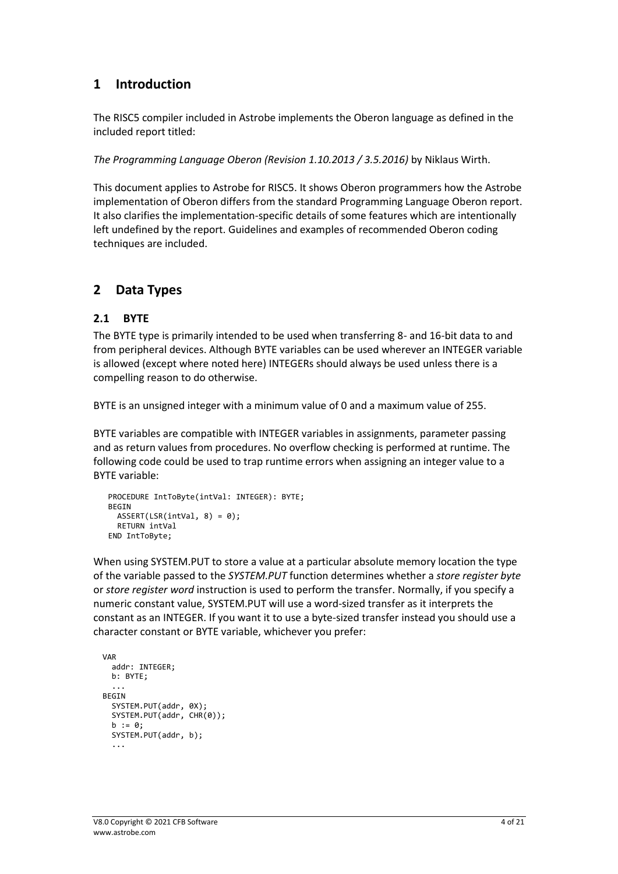# <span id="page-3-0"></span>**1 Introduction**

The RISC5 compiler included in Astrobe implements the Oberon language as defined in the included report titled:

*The Programming Language Oberon (Revision 1.10.2013 / 3.5.2016)* by Niklaus Wirth.

This document applies to Astrobe for RISC5. It shows Oberon programmers how the Astrobe implementation of Oberon differs from the standard Programming Language Oberon report. It also clarifies the implementation-specific details of some features which are intentionally left undefined by the report. Guidelines and examples of recommended Oberon coding techniques are included.

# <span id="page-3-1"></span>**2 Data Types**

#### <span id="page-3-2"></span>**2.1 BYTE**

The BYTE type is primarily intended to be used when transferring 8- and 16-bit data to and from peripheral devices. Although BYTE variables can be used wherever an INTEGER variable is allowed (except where noted here) INTEGERs should always be used unless there is a compelling reason to do otherwise.

BYTE is an unsigned integer with a minimum value of 0 and a maximum value of 255.

BYTE variables are compatible with INTEGER variables in assignments, parameter passing and as return values from procedures. No overflow checking is performed at runtime. The following code could be used to trap runtime errors when assigning an integer value to a BYTE variable:

```
PROCEDURE IntToByte(intVal: INTEGER): BYTE;
BEGIN
  ASSERT(LSR(intVal, 8) = 0);
   RETURN intVal
END IntToByte;
```
When using SYSTEM.PUT to store a value at a particular absolute memory location the type of the variable passed to the *SYSTEM.PUT* function determines whether a *store register byte*  or *store register word* instruction is used to perform the transfer. Normally, if you specify a numeric constant value, SYSTEM.PUT will use a word-sized transfer as it interprets the constant as an INTEGER. If you want it to use a byte-sized transfer instead you should use a character constant or BYTE variable, whichever you prefer:

```
VAR
   addr: INTEGER;
   b: BYTE;
 ...
 BEGIN
   SYSTEM.PUT(addr, 0X);
   SYSTEM.PUT(addr, CHR(0));
   b := 0:
    SYSTEM.PUT(addr, b);
    ...
```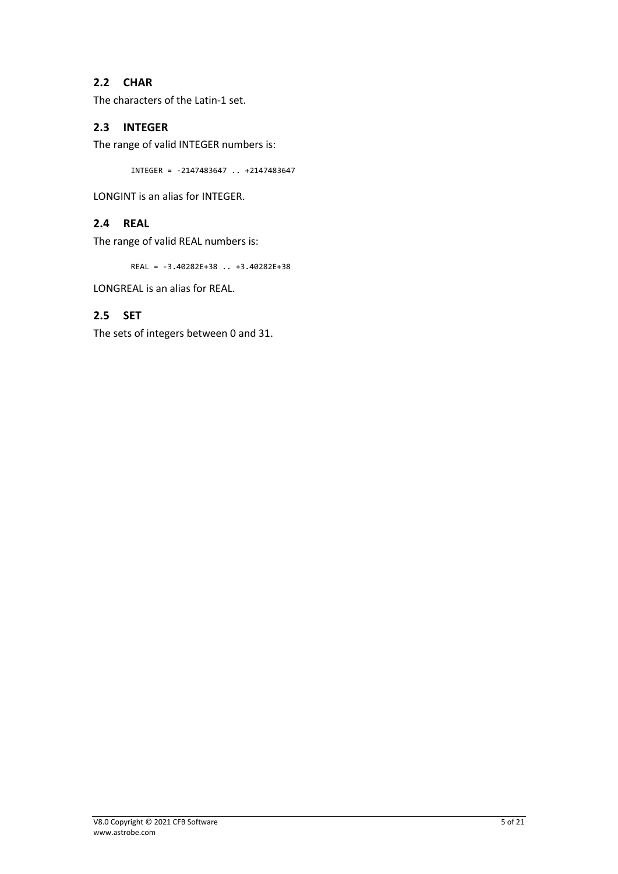## <span id="page-4-0"></span>**2.2 CHAR**

The characters of the Latin-1 set.

#### <span id="page-4-1"></span>**2.3 INTEGER**

The range of valid INTEGER numbers is:

INTEGER = -2147483647 .. +2147483647

<span id="page-4-2"></span>LONGINT is an alias for INTEGER.

## **2.4 REAL**

The range of valid REAL numbers is:

REAL = -3.40282E+38 .. +3.40282E+38

<span id="page-4-3"></span>LONGREAL is an alias for REAL.

## **2.5 SET**

The sets of integers between 0 and 31.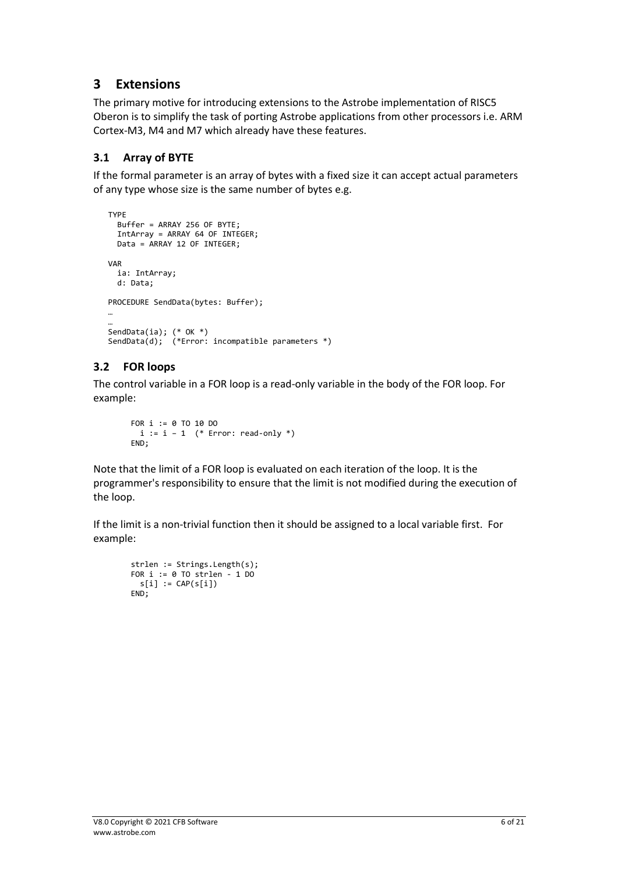# <span id="page-5-0"></span>**3 Extensions**

The primary motive for introducing extensions to the Astrobe implementation of RISC5 Oberon is to simplify the task of porting Astrobe applications from other processors i.e. ARM Cortex-M3, M4 and M7 which already have these features.

# <span id="page-5-1"></span>**3.1 Array of BYTE**

If the formal parameter is an array of bytes with a fixed size it can accept actual parameters of any type whose size is the same number of bytes e.g.

```
TYPE
   Buffer = ARRAY 256 OF BYTE;
   IntArray = ARRAY 64 OF INTEGER;
  Data = ARRAY 12 OF INTEGER;
VAR
   ia: IntArray;
  d: Data;
PROCEDURE SendData(bytes: Buffer);
…
…
SendData(ia); (* OK *)
SendData(d); (*Error: incompatible parameters *)
```
# <span id="page-5-2"></span>**3.2 FOR loops**

The control variable in a FOR loop is a read-only variable in the body of the FOR loop. For example:

```
FOR i := 0 TO 10 DO 
 i := i - 1 (* Error: read-only *)
END;
```
Note that the limit of a FOR loop is evaluated on each iteration of the loop. It is the programmer's responsibility to ensure that the limit is not modified during the execution of the loop.

If the limit is a non-trivial function then it should be assigned to a local variable first. For example:

```
strlen := Strings.Length(s);
FOR i := 0 TO strlen -1 DO
 s[i] := CAP(s[i])END;
```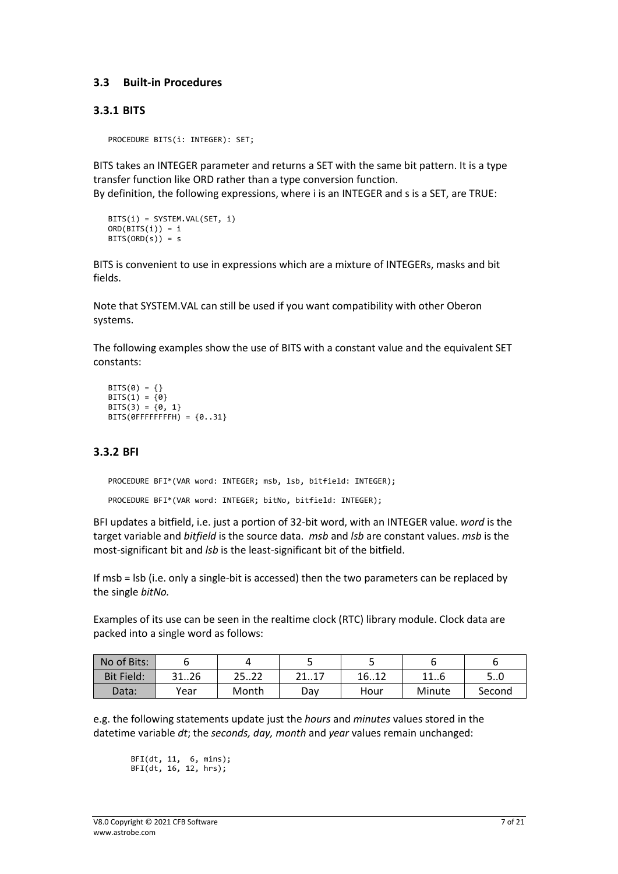#### <span id="page-6-0"></span>**3.3 Built-in Procedures**

#### <span id="page-6-1"></span>**3.3.1 BITS**

PROCEDURE BITS(i: INTEGER): SET;

BITS takes an INTEGER parameter and returns a SET with the same bit pattern. It is a type transfer function like ORD rather than a type conversion function. By definition, the following expressions, where i is an INTEGER and s is a SET, are TRUE:

```
BITS(i) = SYSTEM.VAL(SET, i)
ORD(BITS(i)) = iBITS(ORD(s)) = s
```
BITS is convenient to use in expressions which are a mixture of INTEGERs, masks and bit fields.

Note that SYSTEM.VAL can still be used if you want compatibility with other Oberon systems.

The following examples show the use of BITS with a constant value and the equivalent SET constants:

```
BITS(0) = \{\}BITS(1) = \{0\}BITS(3) = \{0, 1\}BITS(\thetaFFFFFFFFH) = {0..31}
```
## <span id="page-6-2"></span>**3.3.2 BFI**

PROCEDURE BFI\*(VAR word: INTEGER; msb, lsb, bitfield: INTEGER); PROCEDURE BFI\*(VAR word: INTEGER; bitNo, bitfield: INTEGER);

BFI updates a bitfield, i.e. just a portion of 32-bit word, with an INTEGER value. *word* is the target variable and *bitfield* is the source data. *msb* and *lsb* are constant values. *msb* is the most-significant bit and *lsb* is the least-significant bit of the bitfield.

If msb = lsb (i.e. only a single-bit is accessed) then the two parameters can be replaced by the single *bitNo.*

Examples of its use can be seen in the realtime clock (RTC) library module. Clock data are packed into a single word as follows:

| No of Bits:       |      |       |              |      |        |        |
|-------------------|------|-------|--------------|------|--------|--------|
| <b>Bit Field:</b> | 3126 | 2522  | 41I <i>I</i> | 1612 | 116    | 50     |
| Data:             | Year | Month | Dav          | Hour | Minute | Second |

e.g. the following statements update just the *hours* and *minutes* values stored in the datetime variable *dt*; the *seconds, day, month* and *year* values remain unchanged:

BFI(dt, 11, 6, mins); BFI(dt, 16, 12, hrs);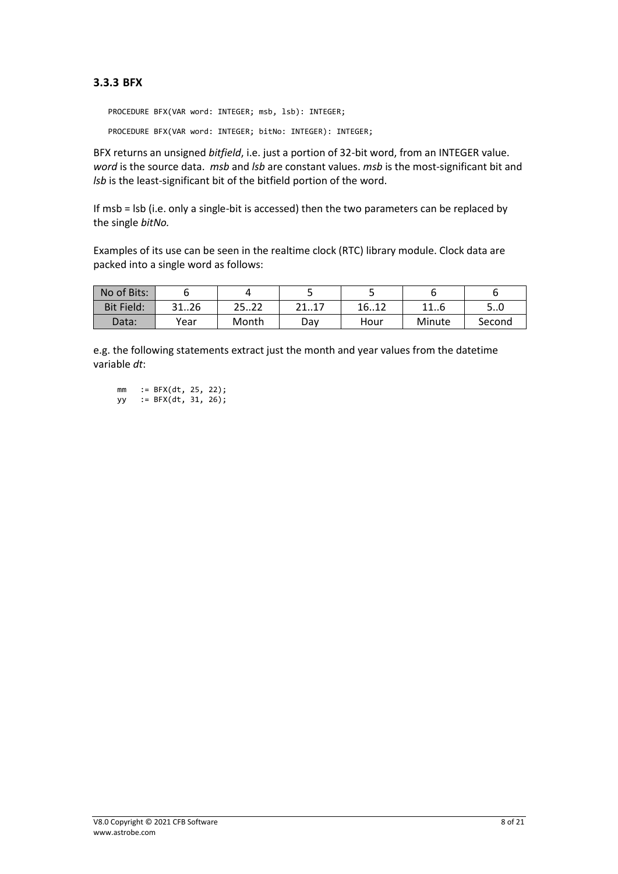#### <span id="page-7-0"></span>**3.3.3 BFX**

PROCEDURE BFX(VAR word: INTEGER; msb, lsb): INTEGER; PROCEDURE BFX(VAR word: INTEGER; bitNo: INTEGER): INTEGER;

BFX returns an unsigned *bitfield*, i.e. just a portion of 32-bit word, from an INTEGER value. *word* is the source data. *msb* and *lsb* are constant values. *msb* is the most-significant bit and *lsb* is the least-significant bit of the bitfield portion of the word.

If msb = lsb (i.e. only a single-bit is accessed) then the two parameters can be replaced by the single *bitNo.*

Examples of its use can be seen in the realtime clock (RTC) library module. Clock data are packed into a single word as follows:

| No of Bits:       |      |            |            |      |           |        |
|-------------------|------|------------|------------|------|-----------|--------|
| <b>Bit Field:</b> | 3126 | ຳາ<br>2322 | ว 1<br>41L | 1612 | 11<br>⊥⊥∪ | 5U     |
| Data:             | Year | Month      | Dav        | Hour | Minute    | Second |

e.g. the following statements extract just the month and year values from the datetime variable *dt*:

mm := BFX(dt, 25, 22);

yy :=  $BFX(dt, 31, 26);$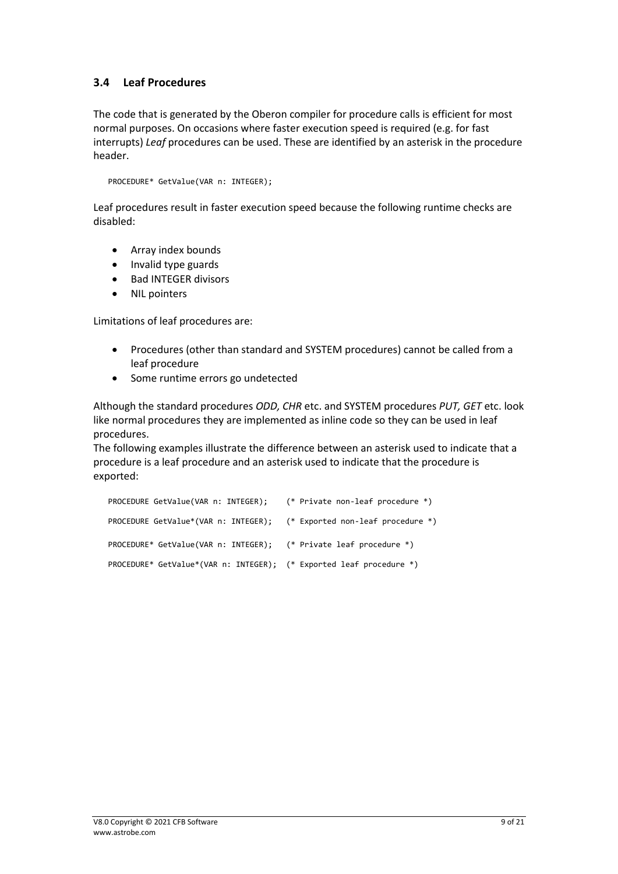# <span id="page-8-0"></span>**3.4 Leaf Procedures**

The code that is generated by the Oberon compiler for procedure calls is efficient for most normal purposes. On occasions where faster execution speed is required (e.g. for fast interrupts) *Leaf* procedures can be used. These are identified by an asterisk in the procedure header.

PROCEDURE\* GetValue(VAR n: INTEGER);

Leaf procedures result in faster execution speed because the following runtime checks are disabled:

- Array index bounds
- Invalid type guards
- Bad INTEGER divisors
- NIL pointers

Limitations of leaf procedures are:

- Procedures (other than standard and SYSTEM procedures) cannot be called from a leaf procedure
- Some runtime errors go undetected

Although the standard procedures *ODD, CHR* etc. and SYSTEM procedures *PUT, GET* etc. look like normal procedures they are implemented as inline code so they can be used in leaf procedures.

The following examples illustrate the difference between an asterisk used to indicate that a procedure is a leaf procedure and an asterisk used to indicate that the procedure is exported:

| PROCEDURE GetValue(VAR n: INTEGER); (* Private non-leaf procedure *)   |  |
|------------------------------------------------------------------------|--|
| PROCEDURE GetValue*(VAR n: INTEGER); (* Exported non-leaf procedure *) |  |
| PROCEDURE* GetValue(VAR n: INTEGER); (* Private leaf procedure *)      |  |
| PROCEDURE* GetValue*(VAR n: INTEGER); (* Exported leaf procedure *)    |  |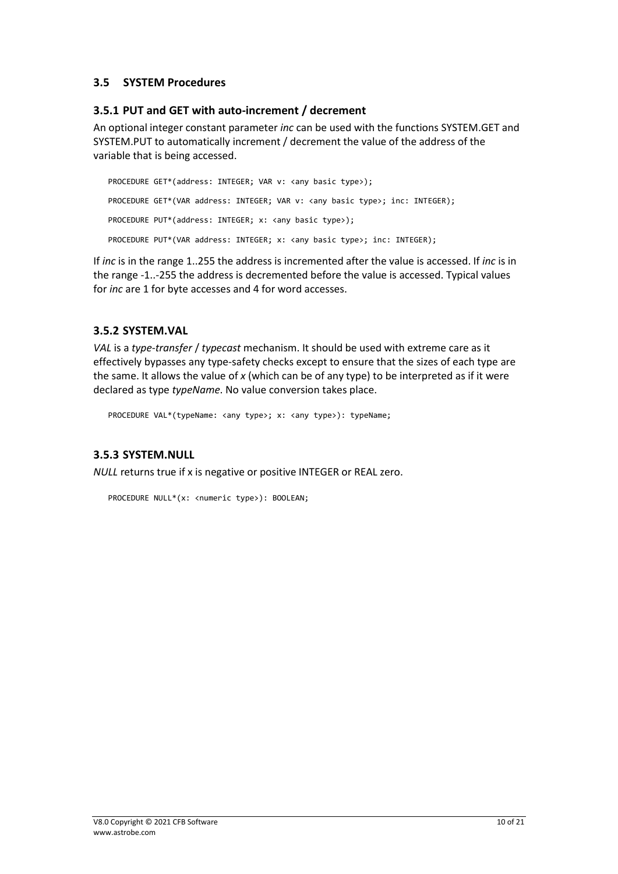#### <span id="page-9-0"></span>**3.5 SYSTEM Procedures**

#### <span id="page-9-1"></span>**3.5.1 PUT and GET with auto-increment / decrement**

An optional integer constant parameter *inc* can be used with the functions SYSTEM.GET and SYSTEM.PUT to automatically increment / decrement the value of the address of the variable that is being accessed.

PROCEDURE GET\*(address: INTEGER; VAR v: <any basic type>); PROCEDURE GET\*(VAR address: INTEGER; VAR v: <any basic type>; inc: INTEGER); PROCEDURE PUT\*(address: INTEGER; x: <any basic type>); PROCEDURE PUT\*(VAR address: INTEGER; x: <any basic type>; inc: INTEGER);

If *inc* is in the range 1..255 the address is incremented after the value is accessed. If *inc* is in the range -1..-255 the address is decremented before the value is accessed. Typical values for *inc* are 1 for byte accesses and 4 for word accesses.

#### <span id="page-9-2"></span>**3.5.2 SYSTEM.VAL**

*VAL* is a *type-transfer* / *typecast* mechanism. It should be used with extreme care as it effectively bypasses any type-safety checks except to ensure that the sizes of each type are the same. It allows the value of *x* (which can be of any type) to be interpreted as if it were declared as type *typeName*. No value conversion takes place.

PROCEDURE VAL\*(typeName: <any type>; x: <any type>): typeName;

#### <span id="page-9-3"></span>**3.5.3 SYSTEM.NULL**

*NULL* returns true if x is negative or positive INTEGER or REAL zero.

```
PROCEDURE NULL*(x: <numeric type>): BOOLEAN;
```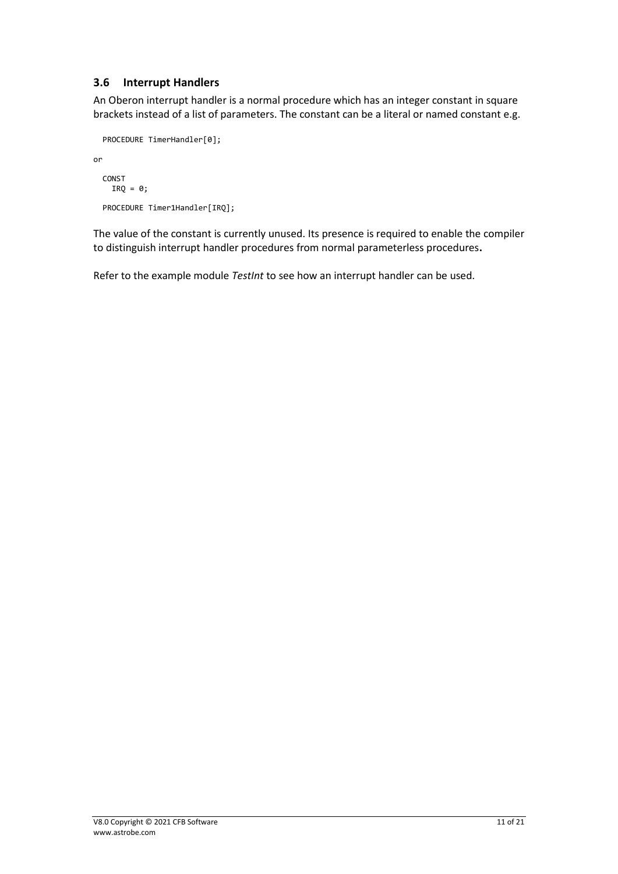## <span id="page-10-0"></span>**3.6 Interrupt Handlers**

An Oberon interrupt handler is a normal procedure which has an integer constant in square brackets instead of a list of parameters. The constant can be a literal or named constant e.g.

```
PROCEDURE TimerHandler[0];
```
or

```
CONST
  IRQ = 0;PROCEDURE Timer1Handler[IRQ];
```
The value of the constant is currently unused. Its presence is required to enable the compiler to distinguish interrupt handler procedures from normal parameterless procedures**.** 

Refer to the example module *TestInt* to see how an interrupt handler can be used.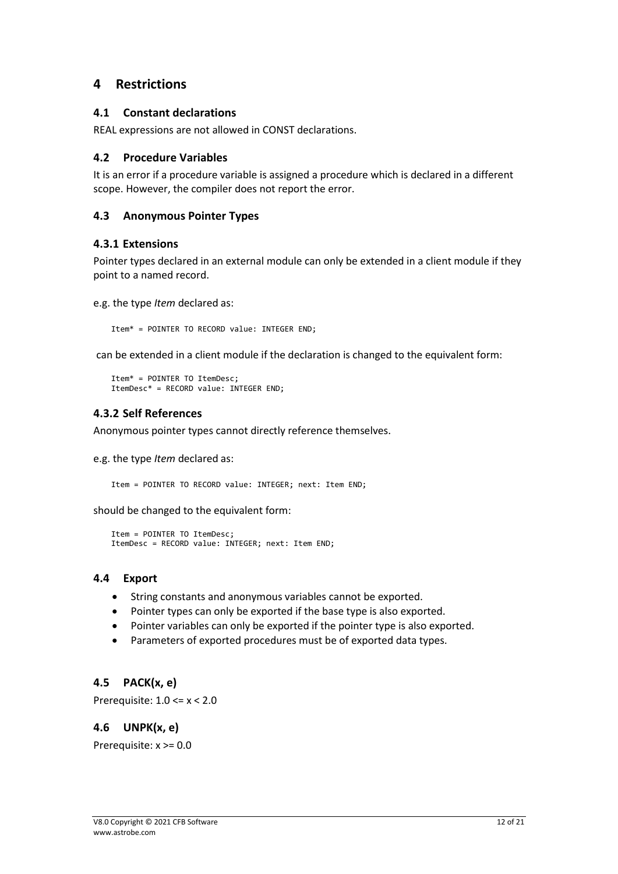# <span id="page-11-0"></span>**4 Restrictions**

#### <span id="page-11-1"></span>**4.1 Constant declarations**

REAL expressions are not allowed in CONST declarations.

#### <span id="page-11-2"></span>**4.2 Procedure Variables**

It is an error if a procedure variable is assigned a procedure which is declared in a different scope. However, the compiler does not report the error.

#### <span id="page-11-3"></span>**4.3 Anonymous Pointer Types**

#### <span id="page-11-4"></span>**4.3.1 Extensions**

Pointer types declared in an external module can only be extended in a client module if they point to a named record.

e.g. the type *Item* declared as:

Item\* = POINTER TO RECORD value: INTEGER END;

can be extended in a client module if the declaration is changed to the equivalent form:

```
Item* = POINTER TO ItemDesc;
ItemDesc* = RECORD value: INTEGER END;
```
#### <span id="page-11-5"></span>**4.3.2 Self References**

Anonymous pointer types cannot directly reference themselves.

e.g. the type *Item* declared as:

Item = POINTER TO RECORD value: INTEGER; next: Item END;

should be changed to the equivalent form:

```
Item = POINTER TO ItemDesc;
ItemDesc = RECORD value: INTEGER; next: Item END;
```
#### <span id="page-11-6"></span>**4.4 Export**

- String constants and anonymous variables cannot be exported.
- Pointer types can only be exported if the base type is also exported.
- Pointer variables can only be exported if the pointer type is also exported.
- Parameters of exported procedures must be of exported data types.

#### <span id="page-11-7"></span>**4.5 PACK(x, e)**

<span id="page-11-8"></span>Prerequisite: 1.0 <= x < 2.0

#### **4.6 UNPK(x, e)**

Prerequisite: x >= 0.0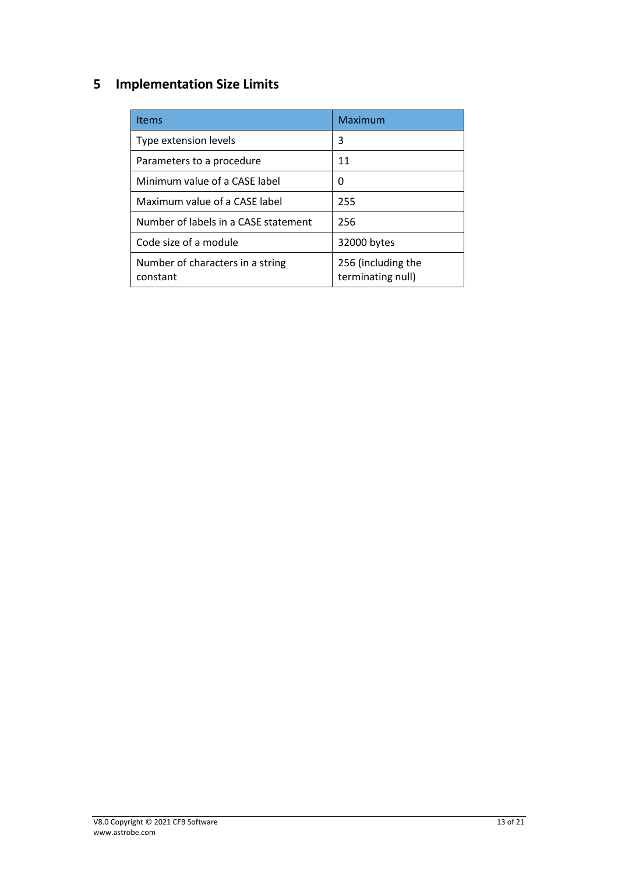# <span id="page-12-0"></span>**5 Implementation Size Limits**

| <b>Items</b>                                 | Maximum                                 |
|----------------------------------------------|-----------------------------------------|
| Type extension levels                        | 3                                       |
| Parameters to a procedure                    | 11                                      |
| Minimum value of a CASE label                | O                                       |
| Maximum value of a CASE label                | 255                                     |
| Number of labels in a CASE statement         | 256                                     |
| Code size of a module                        | 32000 bytes                             |
| Number of characters in a string<br>constant | 256 (including the<br>terminating null) |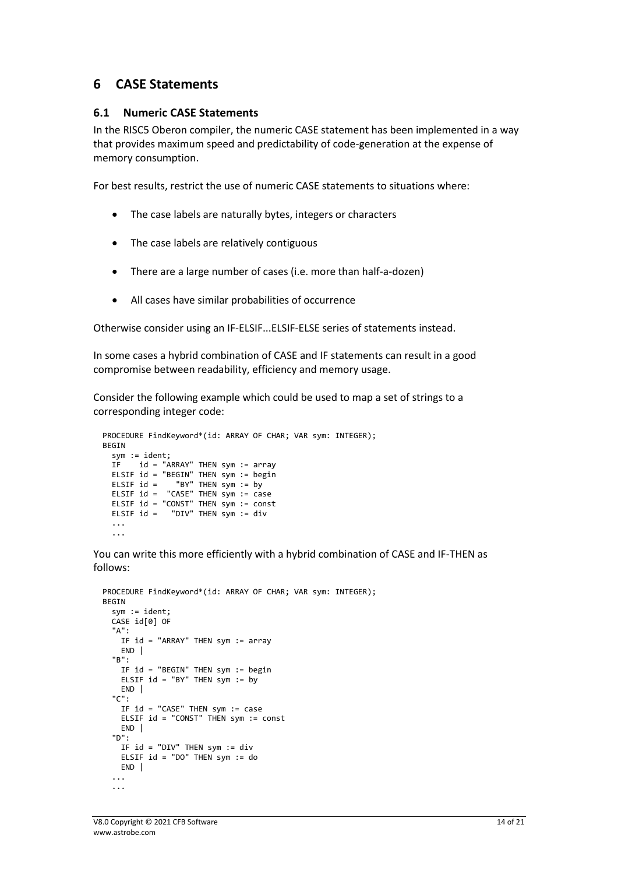# <span id="page-13-0"></span>**6 CASE Statements**

#### <span id="page-13-1"></span>**6.1 Numeric CASE Statements**

In the RISC5 Oberon compiler, the numeric CASE statement has been implemented in a way that provides maximum speed and predictability of code-generation at the expense of memory consumption.

For best results, restrict the use of numeric CASE statements to situations where:

- The case labels are naturally bytes, integers or characters
- The case labels are relatively contiguous
- There are a large number of cases (i.e. more than half-a-dozen)
- All cases have similar probabilities of occurrence

Otherwise consider using an IF-ELSIF...ELSIF-ELSE series of statements instead.

In some cases a hybrid combination of CASE and IF statements can result in a good compromise between readability, efficiency and memory usage.

Consider the following example which could be used to map a set of strings to a corresponding integer code:

```
PROCEDURE FindKeyword*(id: ARRAY OF CHAR; VAR sym: INTEGER);
  BEGIN
    sym := ident;
    IF id = "ARRAY" THEN sym := array
    ELSIF id = "BEGIN" THEN sym := begin<br>ELSIF id =    "BY" THEN sym := by
                     "BY" THEN sym := byELSIF id = "CASE" THEN sym := case
    ELSIF id = "CONST" THEN sym := const<br>ELSIF id = "DIV" THEN sym := div
                   "DIV" THEN sym := div
 ...
 ...
```
You can write this more efficiently with a hybrid combination of CASE and IF-THEN as follows:

```
PROCEDURE FindKeyword*(id: ARRAY OF CHAR; VAR sym: INTEGER);
BEGIN
  sym := ident;
  CASE id[0] OF
  "A": 
   IF id = "ARRAY" THEN sym := array
   END |
  "B":
    IF id = "BEGIN" THEN sym := begin
    ELSIF id = "BY" THEN sym := by
    END |
  "C":
    IF id = "CASE" THEN sym := case
    ELSIF id = "CONST" THEN sym := const
    END |
  "D":
    IF id = "DIV" THEN sym := div
    ELSIF id = "DO" THEN sym := do
   END |
   ...
   ...
```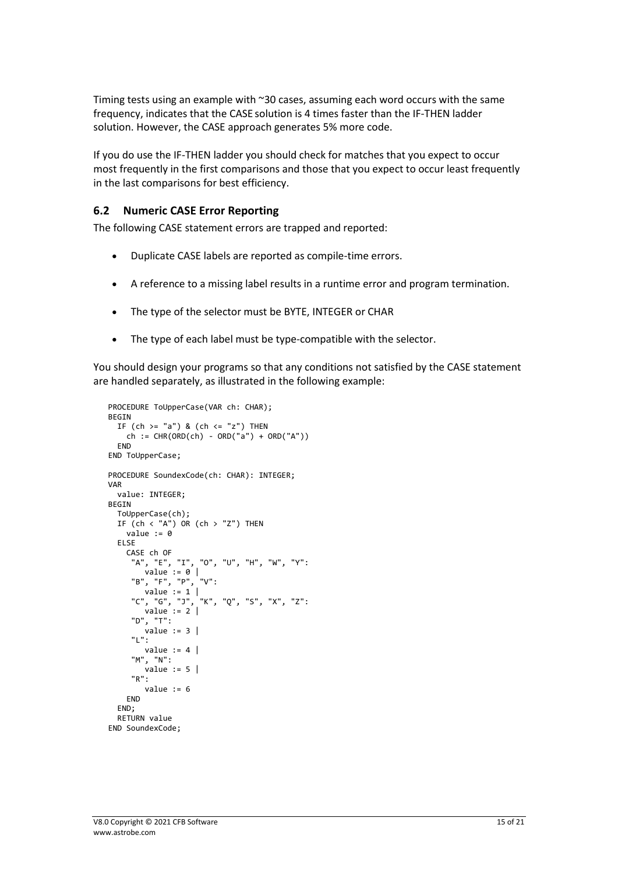Timing tests using an example with ~30 cases, assuming each word occurs with the same frequency, indicates that the CASE solution is 4 times faster than the IF-THEN ladder solution. However, the CASE approach generates 5% more code.

If you do use the IF-THEN ladder you should check for matches that you expect to occur most frequently in the first comparisons and those that you expect to occur least frequently in the last comparisons for best efficiency.

#### <span id="page-14-0"></span>**6.2 Numeric CASE Error Reporting**

The following CASE statement errors are trapped and reported:

- Duplicate CASE labels are reported as compile-time errors.
- A reference to a missing label results in a runtime error and program termination.
- The type of the selector must be BYTE, INTEGER or CHAR
- The type of each label must be type-compatible with the selector.

You should design your programs so that any conditions not satisfied by the CASE statement are handled separately, as illustrated in the following example:

```
PROCEDURE ToUpperCase(VAR ch: CHAR);
BEGIN
  IF (ch \geq "a") & (ch \leq "z") THEN
    ch := CHR(ORD(ch) - ORD("a") + ORD("A")FND
END ToUpperCase;
PROCEDURE SoundexCode(ch: CHAR): INTEGER;
VAR 
  value: INTEGER;
BEGIN
  ToUpperCase(ch);
  IF (ch < "A") OR (ch > "Z") THEN
    value := 0
  ELSE
    CASE ch OF
      "A", "E", "I", "O", "U", "H", "W", "Y":
        value := 0 |<br>". "F". "P". "V":
      "B", "F", "P"<sub>.</sub>
        value := 1"C", "G", "J", "K", "Q", "S", "X", "Z":
      "C", "G", "J",<br>value := 2 |
      "D", "T":
         value := 3 |
      "L":
        value := 4 |
      "M", "N":
        value := 5 |
      "R":
         value := 6 
    END
  END;
  RETURN value
END SoundexCode;
```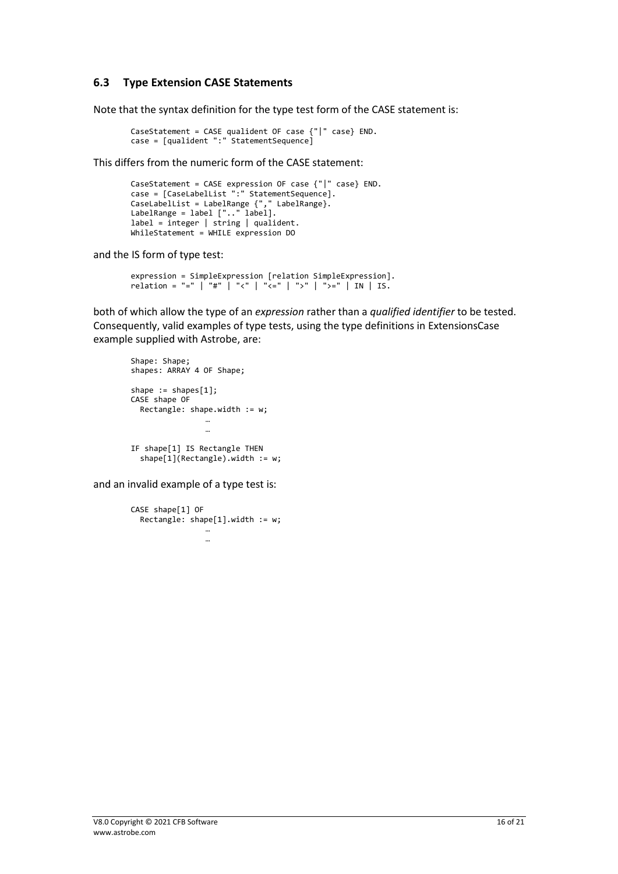#### <span id="page-15-0"></span>**6.3 Type Extension CASE Statements**

Note that the syntax definition for the type test form of the CASE statement is:

```
CaseStatement = CASE qualident OF case {"|" case} END.
case = [qualident ":" StatementSequence]
```
This differs from the numeric form of the CASE statement:

```
CaseStatement = CASE expression OF case {"|" case} END.
case = [CaseLabelList ":" StatementSequence].
CaseLabelList = LabelRange {"," LabelRange}.
LabelRange = label [".." label].
label = integer | string | qualident.
WhileStatement = WHILE expression DO
```
and the IS form of type test:

```
expression = SimpleExpression [relation SimpleExpression].
relation = "=" | "#" | "<" | "<=" | ">" | ">=" | IN | IS.
```
both of which allow the type of an *expression* rather than a *qualified identifier* to be tested. Consequently, valid examples of type tests, using the type definitions in ExtensionsCase example supplied with Astrobe, are:

```
Shape: Shape;
shapes: ARRAY 4 OF Shape;
shape := shapes[1];
CASE shape OF 
 Rectangle: shape.width := w;
                …
IF shape[1] IS Rectangle THEN 
   shape[1](Rectangle).width := w;
```
and an invalid example of a type test is:

```
CASE shape[1] OF 
  Rectangle: shape[1].width := w;
                 …
                 …
```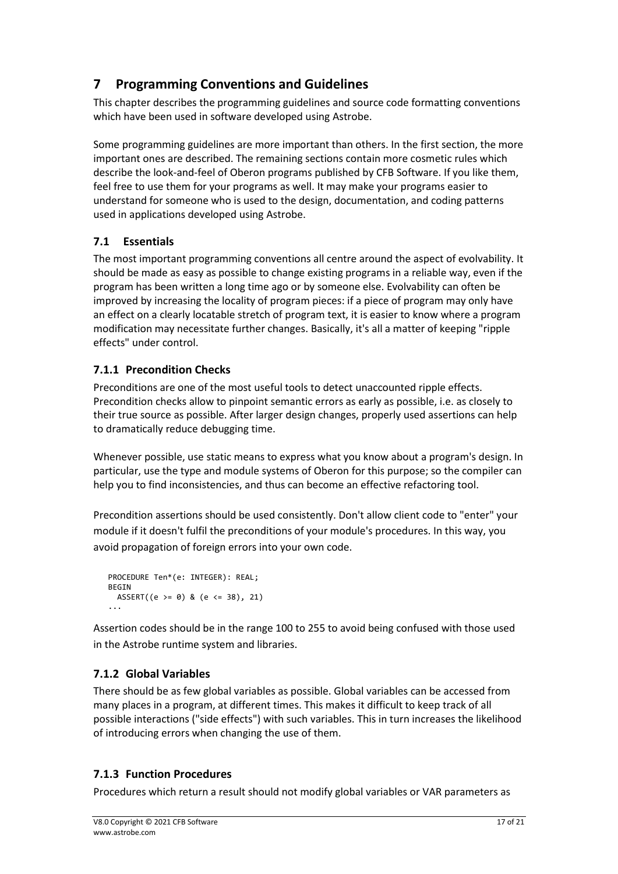# <span id="page-16-0"></span>**7 Programming Conventions and Guidelines**

This chapter describes the programming guidelines and source code formatting conventions which have been used in software developed using Astrobe.

Some programming guidelines are more important than others. In the first section, the more important ones are described. The remaining sections contain more cosmetic rules which describe the look-and-feel of Oberon programs published by CFB Software. If you like them, feel free to use them for your programs as well. It may make your programs easier to understand for someone who is used to the design, documentation, and coding patterns used in applications developed using Astrobe.

# <span id="page-16-1"></span>**7.1 Essentials**

The most important programming conventions all centre around the aspect of evolvability. It should be made as easy as possible to change existing programs in a reliable way, even if the program has been written a long time ago or by someone else. Evolvability can often be improved by increasing the locality of program pieces: if a piece of program may only have an effect on a clearly locatable stretch of program text, it is easier to know where a program modification may necessitate further changes. Basically, it's all a matter of keeping "ripple effects" under control.

# <span id="page-16-2"></span>**7.1.1 Precondition Checks**

Preconditions are one of the most useful tools to detect unaccounted ripple effects. Precondition checks allow to pinpoint semantic errors as early as possible, i.e. as closely to their true source as possible. After larger design changes, properly used assertions can help to dramatically reduce debugging time.

Whenever possible, use static means to express what you know about a program's design. In particular, use the type and module systems of Oberon for this purpose; so the compiler can help you to find inconsistencies, and thus can become an effective refactoring tool.

Precondition assertions should be used consistently. Don't allow client code to "enter" your module if it doesn't fulfil the preconditions of your module's procedures. In this way, you avoid propagation of foreign errors into your own code.

```
PROCEDURE Ten*(e: INTEGER): REAL;
BEGIN 
  ASSERT((e \ge 0) & (e \le 38), 21)
...
```
Assertion codes should be in the range 100 to 255 to avoid being confused with those used in the Astrobe runtime system and libraries.

# <span id="page-16-3"></span>**7.1.2 Global Variables**

There should be as few global variables as possible. Global variables can be accessed from many places in a program, at different times. This makes it difficult to keep track of all possible interactions ("side effects") with such variables. This in turn increases the likelihood of introducing errors when changing the use of them.

# <span id="page-16-4"></span>**7.1.3 Function Procedures**

Procedures which return a result should not modify global variables or VAR parameters as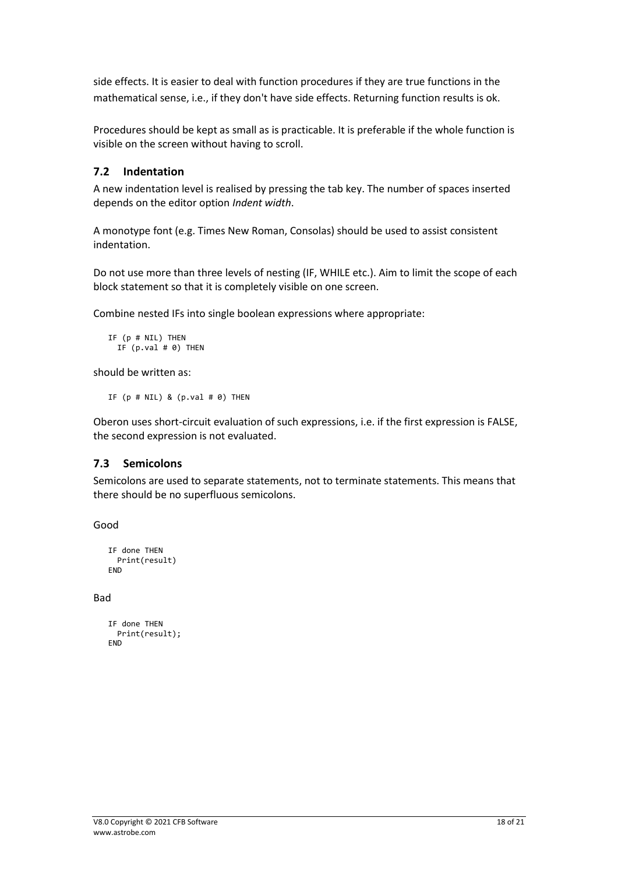side effects. It is easier to deal with function procedures if they are true functions in the mathematical sense, i.e., if they don't have side effects. Returning function results is ok.

Procedures should be kept as small as is practicable. It is preferable if the whole function is visible on the screen without having to scroll.

#### <span id="page-17-0"></span>**7.2 Indentation**

A new indentation level is realised by pressing the tab key. The number of spaces inserted depends on the editor option *Indent width*.

A monotype font (e.g. Times New Roman, Consolas) should be used to assist consistent indentation.

Do not use more than three levels of nesting (IF, WHILE etc.). Aim to limit the scope of each block statement so that it is completely visible on one screen.

Combine nested IFs into single boolean expressions where appropriate:

```
IF (p # NIL) THEN
  IF (p.val \# \theta) THEN
```
should be written as:

IF  $(p \# \text{ NIL})$  &  $(p \text{.val} \# \theta)$  THEN

Oberon uses short-circuit evaluation of such expressions, i.e. if the first expression is FALSE, the second expression is not evaluated.

#### <span id="page-17-1"></span>**7.3 Semicolons**

Semicolons are used to separate statements, not to terminate statements. This means that there should be no superfluous semicolons.

Good

```
IF done THEN
  Print(result)
FND
```
Bad

```
IF done THEN
  Print(result);
END
```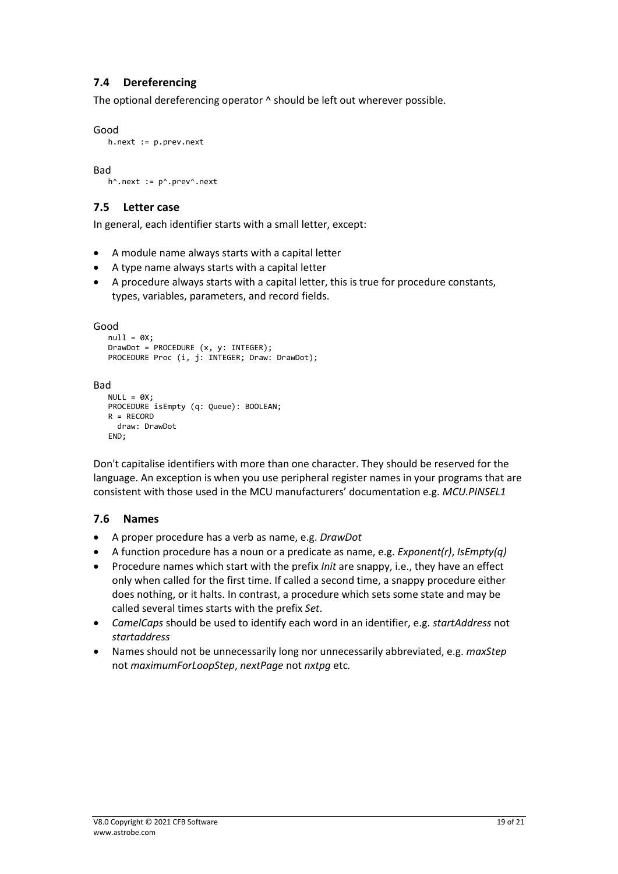# <span id="page-18-0"></span>**7.4 Dereferencing**

The optional dereferencing operator  $\wedge$  should be left out wherever possible.

```
Good
```

```
h.next := p.prev.next
```
Bad

```
h^.next := p^.prev^.next
```
#### <span id="page-18-1"></span>**7.5 Letter case**

In general, each identifier starts with a small letter, except:

- A module name always starts with a capital letter
- A type name always starts with a capital letter
- A procedure always starts with a capital letter, this is true for procedure constants, types, variables, parameters, and record fields.

```
Good
```

```
null = 0X;DrawDot = PROCEDURE (x, y: INTEGER);
PROCEDURE Proc (i, j: INTEGER; Draw: DrawDot);
```
#### Bad

```
NULL = 0X;PROCEDURE isEmpty (q: Queue): BOOLEAN;
R = RECORD
   draw: DrawDot
END;
```
Don't capitalise identifiers with more than one character. They should be reserved for the language. An exception is when you use peripheral register names in your programs that are consistent with those used in the MCU manufacturers' documentation e.g. *MCU.PINSEL1*

#### <span id="page-18-2"></span>**7.6 Names**

- A proper procedure has a verb as name, e.g. *DrawDot*
- A function procedure has a noun or a predicate as name, e.g. *Exponent(r)*, *IsEmpty(q)*
- Procedure names which start with the prefix *Init* are snappy, i.e., they have an effect only when called for the first time. If called a second time, a snappy procedure either does nothing, or it halts. In contrast, a procedure which sets some state and may be called several times starts with the prefix *Set*.
- *CamelCaps* should be used to identify each word in an identifier, e.g. *startAddress* not *startaddress*
- Names should not be unnecessarily long nor unnecessarily abbreviated, e.g. *maxStep* not *maximumForLoopStep*, *nextPage* not *nxtpg* etc*.*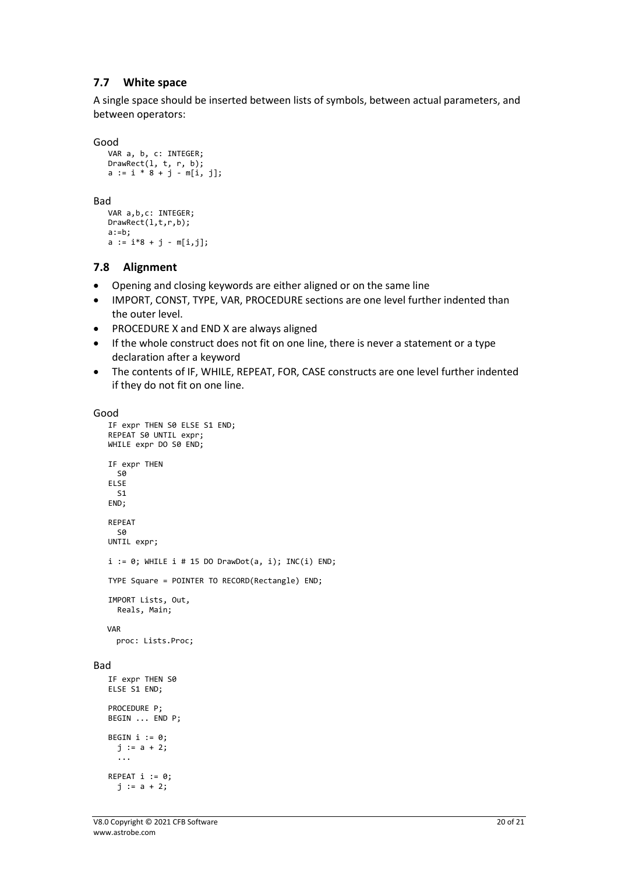#### <span id="page-19-0"></span>**7.7 White space**

A single space should be inserted between lists of symbols, between actual parameters, and between operators:

Good

```
VAR a, b, c: INTEGER;
DrawRect(l, t, r, b);
a := i * 8 + j - m[i, j];
```
Bad

```
VAR a,b,c: INTEGER;
DrawRect(l,t,r,b);
a:=b;a := i*8 + j - m[i, j];
```
#### <span id="page-19-1"></span>**7.8 Alignment**

- Opening and closing keywords are either aligned or on the same line
- IMPORT, CONST, TYPE, VAR, PROCEDURE sections are one level further indented than the outer level.
- PROCEDURE X and END X are always aligned
- If the whole construct does not fit on one line, there is never a statement or a type declaration after a keyword
- The contents of IF, WHILE, REPEAT, FOR, CASE constructs are one level further indented if they do not fit on one line.

```
Good
```

```
IF expr THEN S0 ELSE S1 END;
   REPEAT S0 UNTIL expr;
   WHILE expr DO S0 END;
   IF expr THEN
    SQ
   ELSE
     S1
   END;
   REPEAT
    SQ
   UNTIL expr;
   i := 0; WHILE i # 15 DO DrawDot(a, i); INC(i) END;TYPE Square = POINTER TO RECORD(Rectangle) END;
   IMPORT Lists, Out, 
      Reals, Main;
    VAR
     proc: Lists.Proc;
Bad
   IF expr THEN S0
   ELSE S1 END;
   PROCEDURE P;
   BEGIN ... END P;
   BEGIN i := 0; j := a + 2;
      ...
   REPEAT i := 0;j := a + 2;
```